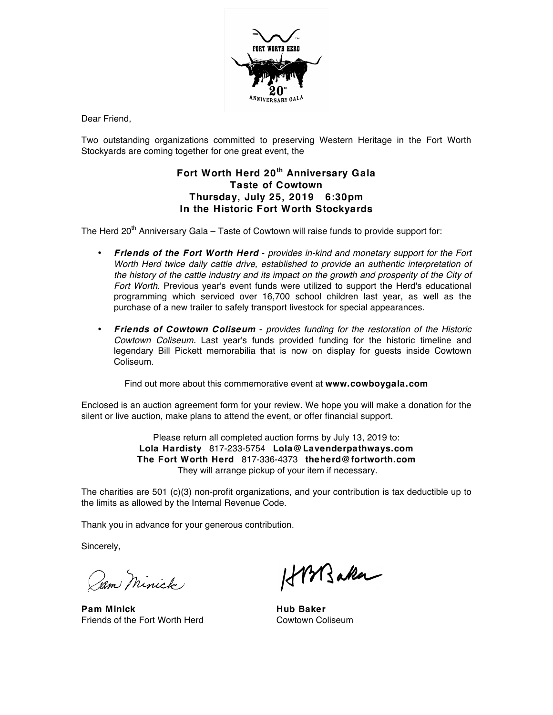

Dear Friend,

Two outstanding organizations committed to preserving Western Heritage in the Fort Worth Stockyards are coming together for one great event, the

## **Fort Worth Herd 20th Anniversary Gala Taste of Cowtown Thursday, July 25, 2019 6:30pm In the Historic Fort Worth Stockyards**

The Herd  $20<sup>th</sup>$  Anniversary Gala – Taste of Cowtown will raise funds to provide support for:

- *Friends of the Fort Worth Herd provides in-kind and monetary support for the Fort Worth Herd twice daily cattle drive, established to provide an authentic interpretation of* the history of the cattle industry and its impact on the growth and prosperity of the City of *Fort Worth.* Previous year's event funds were utilized to support the Herd's educational programming which serviced over 16,700 school children last year, as well as the purchase of a new trailer to safely transport livestock for special appearances.
- *Friends of Cowtown Coliseum provides funding for the restoration of the Historic Cowtown Coliseum.* Last year's funds provided funding for the historic timeline and legendary Bill Pickett memorabilia that is now on display for guests inside Cowtown Coliseum.

Find out more about this commemorative event at **www.cowboygala.com**

Enclosed is an auction agreement form for your review. We hope you will make a donation for the silent or live auction, make plans to attend the event, or offer financial support.

> Please return all completed auction forms by July 13, 2019 to: **Lola Hardisty** 817-233-5754 **Lola@Lavenderpathways.com The Fort Worth Herd** 817-336-4373 **theherd@fortworth.com** They will arrange pickup of your item if necessary.

The charities are 501 (c)(3) non-profit organizations, and your contribution is tax deductible up to the limits as allowed by the Internal Revenue Code.

Thank you in advance for your generous contribution.

Sincerely,

Jam Minick

**Pam Minick Hub Baker** Friends of the Fort Worth Herd Cowtown Coliseum

HPM saker